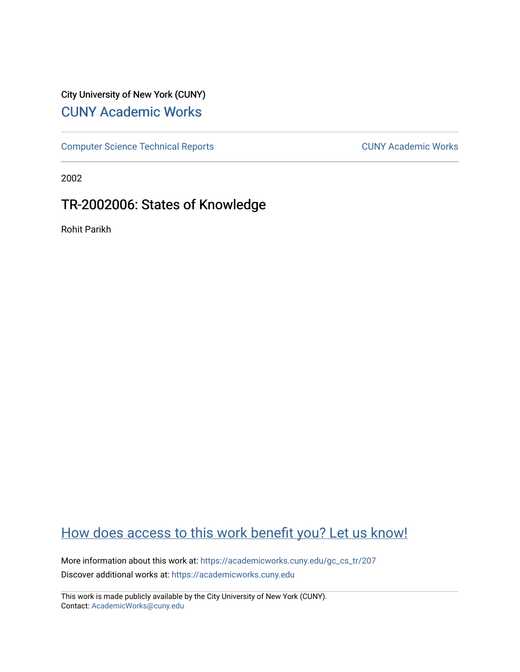## City University of New York (CUNY) [CUNY Academic Works](https://academicworks.cuny.edu/)

[Computer Science Technical Reports](https://academicworks.cuny.edu/gc_cs_tr) **CUNY Academic Works** CUNY Academic Works

2002

## TR-2002006: States of Knowledge

Rohit Parikh

# [How does access to this work benefit you? Let us know!](http://ols.cuny.edu/academicworks/?ref=https://academicworks.cuny.edu/gc_cs_tr/207)

More information about this work at: [https://academicworks.cuny.edu/gc\\_cs\\_tr/207](https://academicworks.cuny.edu/gc_cs_tr/207)  Discover additional works at: [https://academicworks.cuny.edu](https://academicworks.cuny.edu/?)

This work is made publicly available by the City University of New York (CUNY). Contact: [AcademicWorks@cuny.edu](mailto:AcademicWorks@cuny.edu)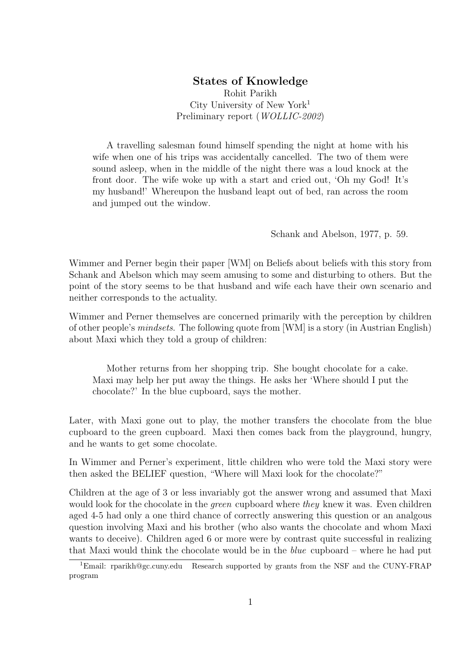### States of Knowledge

Rohit Parikh City University of New York<sup>1</sup> Preliminary report (*WOLLIC-2002*)

A travelling salesman found himself spending the night at home with his wife when one of his trips was accidentally cancelled. The two of them were sound asleep, when in the middle of the night there was a loud knock at the front door. The wife woke up with a start and cried out, 'Oh my God! It's my husband!' Whereupon the husband leapt out of bed, ran across the room and jumped out the window.

Schank and Abelson, 1977, p. 59.

Wimmer and Perner begin their paper [WM] on Beliefs about beliefs with this story from Schank and Abelson which may seem amusing to some and disturbing to others. But the point of the story seems to be that husband and wife each have their own scenario and neither corresponds to the actuality.

Wimmer and Perner themselves are concerned primarily with the perception by children of other people's mindsets. The following quote from [WM] is a story (in Austrian English) about Maxi which they told a group of children:

Mother returns from her shopping trip. She bought chocolate for a cake. Maxi may help her put away the things. He asks her 'Where should I put the chocolate?' In the blue cupboard, says the mother.

Later, with Maxi gone out to play, the mother transfers the chocolate from the blue cupboard to the green cupboard. Maxi then comes back from the playground, hungry, and he wants to get some chocolate.

In Wimmer and Perner's experiment, little children who were told the Maxi story were then asked the BELIEF question, "Where will Maxi look for the chocolate?"

Children at the age of 3 or less invariably got the answer wrong and assumed that Maxi would look for the chocolate in the *green* cupboard where they knew it was. Even children aged 4-5 had only a one third chance of correctly answering this question or an analgous question involving Maxi and his brother (who also wants the chocolate and whom Maxi wants to deceive). Children aged 6 or more were by contrast quite successful in realizing that Maxi would think the chocolate would be in the *blue* cupboard – where he had put

<sup>&</sup>lt;sup>1</sup>Email: rparikh@gc.cuny.edu Research supported by grants from the NSF and the CUNY-FRAP program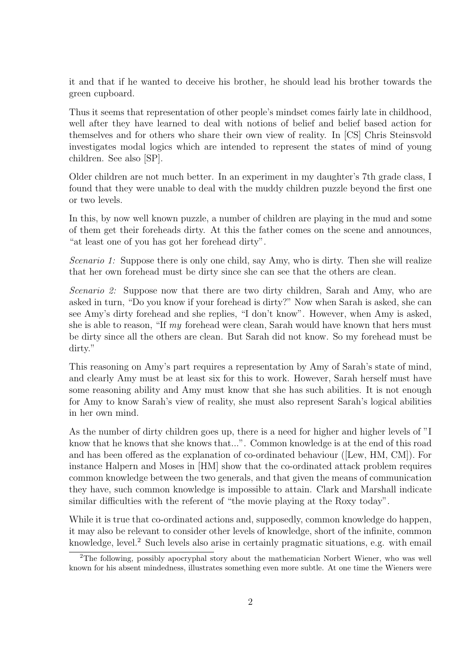it and that if he wanted to deceive his brother, he should lead his brother towards the green cupboard.

Thus it seems that representation of other people's mindset comes fairly late in childhood, well after they have learned to deal with notions of belief and belief based action for themselves and for others who share their own view of reality. In [CS] Chris Steinsvold investigates modal logics which are intended to represent the states of mind of young children. See also [SP].

Older children are not much better. In an experiment in my daughter's 7th grade class, I found that they were unable to deal with the muddy children puzzle beyond the first one or two levels.

In this, by now well known puzzle, a number of children are playing in the mud and some of them get their foreheads dirty. At this the father comes on the scene and announces, "at least one of you has got her forehead dirty".

Scenario 1: Suppose there is only one child, say Amy, who is dirty. Then she will realize that her own forehead must be dirty since she can see that the others are clean.

Scenario 2: Suppose now that there are two dirty children, Sarah and Amy, who are asked in turn, "Do you know if your forehead is dirty?" Now when Sarah is asked, she can see Amy's dirty forehead and she replies, "I don't know". However, when Amy is asked, she is able to reason, "If my forehead were clean, Sarah would have known that hers must be dirty since all the others are clean. But Sarah did not know. So my forehead must be dirty."

This reasoning on Amy's part requires a representation by Amy of Sarah's state of mind, and clearly Amy must be at least six for this to work. However, Sarah herself must have some reasoning ability and Amy must know that she has such abilities. It is not enough for Amy to know Sarah's view of reality, she must also represent Sarah's logical abilities in her own mind.

As the number of dirty children goes up, there is a need for higher and higher levels of "I know that he knows that she knows that...". Common knowledge is at the end of this road and has been offered as the explanation of co-ordinated behaviour ([Lew, HM, CM]). For instance Halpern and Moses in [HM] show that the co-ordinated attack problem requires common knowledge between the two generals, and that given the means of communication they have, such common knowledge is impossible to attain. Clark and Marshall indicate similar difficulties with the referent of "the movie playing at the Roxy today".

While it is true that co-ordinated actions and, supposedly, common knowledge do happen, it may also be relevant to consider other levels of knowledge, short of the infinite, common knowledge, level.<sup>2</sup> Such levels also arise in certainly pragmatic situations, e.g. with email

<sup>2</sup>The following, possibly apocryphal story about the mathematician Norbert Wiener, who was well known for his absent mindedness, illustrates something even more subtle. At one time the Wieners were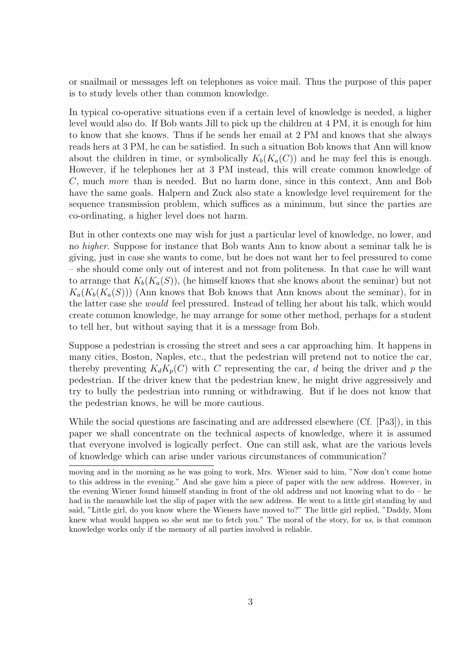or snailmail or messages left on telephones as voice mail. Thus the purpose of this paper is to study levels other than common knowledge.

In typical co-operative situations even if a certain level of knowledge is needed, a higher level would also do. If Bob wants Jill to pick up the children at 4 PM, it is enough for him to know that she knows. Thus if he sends her email at 2 PM and knows that she always reads hers at 3 PM, he can be satisfied. In such a situation Bob knows that Ann will know about the children in time, or symbolically  $K_b(K_a(C))$  and he may feel this is enough. However, if he telephones her at 3 PM instead, this will create common knowledge of C, much more than is needed. But no harm done, since in this context, Ann and Bob have the same goals. Halpern and Zuck also state a knowledge level requirement for the sequence transmission problem, which suffices as a minimum, but since the parties are co-ordinating, a higher level does not harm.

But in other contexts one may wish for just a particular level of knowledge, no lower, and no higher. Suppose for instance that Bob wants Ann to know about a seminar talk he is giving, just in case she wants to come, but he does not want her to feel pressured to come – she should come only out of interest and not from politeness. In that case he will want to arrange that  $K_b(K_a(S))$ , (he himself knows that she knows about the seminar) but not  $K_a(K_b(K_a(S)))$  (Ann knows that Bob knows that Ann knows about the seminar), for in the latter case she would feel pressured. Instead of telling her about his talk, which would create common knowledge, he may arrange for some other method, perhaps for a student to tell her, but without saying that it is a message from Bob.

Suppose a pedestrian is crossing the street and sees a car approaching him. It happens in many cities, Boston, Naples, etc., that the pedestrian will pretend not to notice the car, thereby preventing  $K_dK_p(C)$  with C representing the car, d being the driver and p the pedestrian. If the driver knew that the pedestrian knew, he might drive aggressively and try to bully the pedestrian into running or withdrawing. But if he does not know that the pedestrian knows, he will be more cautious.

While the social questions are fascinating and are addressed elsewhere (Cf. [Pa3]), in this paper we shall concentrate on the technical aspects of knowledge, where it is assumed that everyone involved is logically perfect. One can still ask, what are the various levels of knowledge which can arise under various circumstances of communication?

moving and in the morning as he was going to work, Mrs. Wiener said to him, "Now don't come home to this address in the evening." And she gave him a piece of paper with the new address. However, in the evening Wiener found himself standing in front of the old address and not knowing what to do – he had in the meanwhile lost the slip of paper with the new address. He went to a little girl standing by and said, "Little girl, do you know where the Wieners have moved to?" The little girl replied, "Daddy, Mom knew what would happen so she sent me to fetch you." The moral of the story, for us, is that common knowledge works only if the memory of all parties involved is reliable.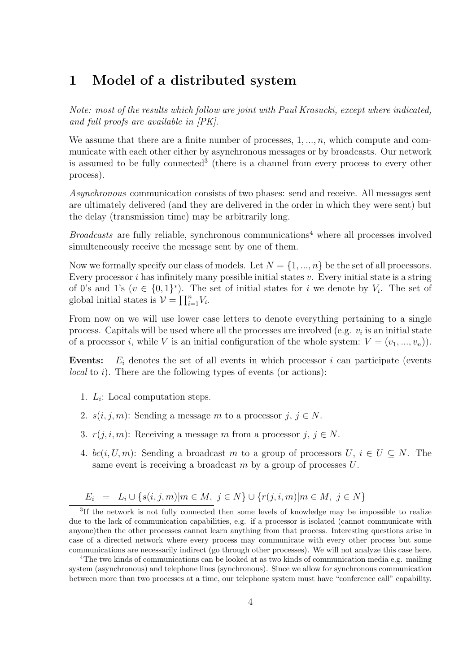### 1 Model of a distributed system

Note: most of the results which follow are joint with Paul Krasucki, except where indicated, and full proofs are available in [PK].

We assume that there are a finite number of processes,  $1, \ldots, n$ , which compute and communicate with each other either by asynchronous messages or by broadcasts. Our network is assumed to be fully connected<sup>3</sup> (there is a channel from every process to every other process).

Asynchronous communication consists of two phases: send and receive. All messages sent are ultimately delivered (and they are delivered in the order in which they were sent) but the delay (transmission time) may be arbitrarily long.

*Broadcasts* are fully reliable, synchronous communications<sup>4</sup> where all processes involved simulteneously receive the message sent by one of them.

Now we formally specify our class of models. Let  $N = \{1, ..., n\}$  be the set of all processors. Every processor  $i$  has infinitely many possible initial states  $v$ . Every initial state is a string of 0's and 1's  $(v \in \{0,1\}^*)$ . The set of initial states for i we denote by  $V_i$ . The set of global initial states is  $\mathcal{V} = \prod_{i=1}^n V_i$ .

From now on we will use lower case letters to denote everything pertaining to a single process. Capitals will be used where all the processes are involved (e.g.  $v_i$  is an initial state of a processor i, while V is an initial configuration of the whole system:  $V = (v_1, ..., v_n)$ .

Events:  $E_i$  denotes the set of all events in which processor i can participate (events local to i). There are the following types of events (or actions):

- 1.  $L_i$ : Local computation steps.
- 2.  $s(i, j, m)$ : Sending a message m to a processor  $j, j \in N$ .
- 3.  $r(j, i, m)$ : Receiving a message m from a processor  $j, j \in N$ .
- 4.  $bc(i, U, m)$ : Sending a broadcast m to a group of processors  $U, i \in U \subseteq N$ . The same event is receiving a broadcast  $m$  by a group of processes  $U$ .

$$
E_i = L_i \cup \{ s(i, j, m) | m \in M, j \in N \} \cup \{ r(j, i, m) | m \in M, j \in N \}
$$

<sup>&</sup>lt;sup>3</sup>If the network is not fully connected then some levels of knowledge may be impossible to realize due to the lack of communication capabilities, e.g. if a processor is isolated (cannot communicate with anyone)then the other processes cannot learn anything from that process. Interesting questions arise in case of a directed network where every process may communicate with every other process but some communications are necessarily indirect (go through other processes). We will not analyze this case here.

<sup>&</sup>lt;sup>4</sup>The two kinds of communications can be looked at as two kinds of communication media e.g. mailing system (asynchronous) and telephone lines (synchronous). Since we allow for synchronous communication between more than two processes at a time, our telephone system must have "conference call" capability.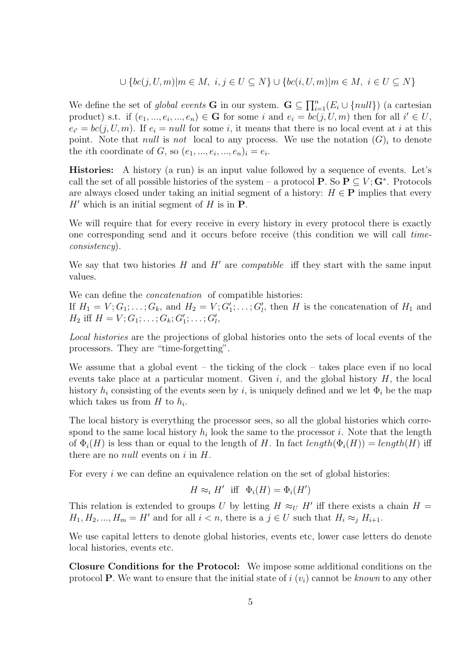$\cup \{bc(j, U, m)|m \in M, i, j \in U \subseteq N\} \cup \{bc(i, U, m)|m \in M, i \in U \subseteq N\}$ 

We define the set of *global events* **G** in our system.  $\mathbf{G} \subseteq \prod_{i=1}^{n} (E_i \cup \{null\})$  (a cartesian product) s.t. if  $(e_1, ..., e_i, ..., e_n) \in \mathbf{G}$  for some i and  $e_i = bc(j, U, m)$  then for all  $i' \in U$ ,  $e_{i'} = bc(j, U, m)$ . If  $e_i = null$  for some i, it means that there is no local event at i at this point. Note that *null* is not local to any process. We use the notation  $(G)_i$  to denote the *i*th coordinate of  $G$ , so  $(e_1, ..., e_i, ..., e_n)_i = e_i$ .

Histories: A history (a run) is an input value followed by a sequence of events. Let's call the set of all possible histories of the system – a protocol **P**. So  $\mathbf{P} \subseteq V$ ;  $\mathbf{G}^*$ . Protocols are always closed under taking an initial segment of a history:  $H \in \mathbf{P}$  implies that every  $H'$  which is an initial segment of H is in **P**.

We will require that for every receive in every history in every protocol there is exactly one corresponding send and it occurs before receive (this condition we will call timeconsistency).

We say that two histories  $H$  and  $H'$  are *compatible* iff they start with the same input values.

We can define the *concatenation* of compatible histories: If  $H_1 = V; G_1; \ldots; G_k$ , and  $H_2 = V; G'_1; \ldots; G'_l$ , then H is the concatenation of  $H_1$  and  $H_2$  iff  $H = V; G_1; \ldots; G_k; G'_1; \ldots; G'_l$ 

Local histories are the projections of global histories onto the sets of local events of the processors. They are "time-forgetting".

We assume that a global event – the ticking of the clock – takes place even if no local events take place at a particular moment. Given  $i$ , and the global history  $H$ , the local history  $h_i$  consisting of the events seen by i, is uniquely defined and we let  $\Phi_i$  be the map which takes us from  $H$  to  $h_i$ .

The local history is everything the processor sees, so all the global histories which correspond to the same local history  $h_i$  look the same to the processor i. Note that the length of  $\Phi_i(H)$  is less than or equal to the length of H. In fact length( $\Phi_i(H)$ ) = length(H) iff there are no *null* events on  $i$  in  $H$ .

For every i we can define an equivalence relation on the set of global histories:

$$
H \approx_i H' \text{ iff } \Phi_i(H) = \Phi_i(H')
$$

This relation is extended to groups U by letting  $H \approx_U H'$  iff there exists a chain  $H =$  $H_1, H_2, ..., H_m = H'$  and for all  $i < n$ , there is a  $j \in U$  such that  $H_i \approx_j H_{i+1}$ .

We use capital letters to denote global histories, events etc, lower case letters do denote local histories, events etc.

Closure Conditions for the Protocol: We impose some additional conditions on the protocol P. We want to ensure that the initial state of  $i(v_i)$  cannot be known to any other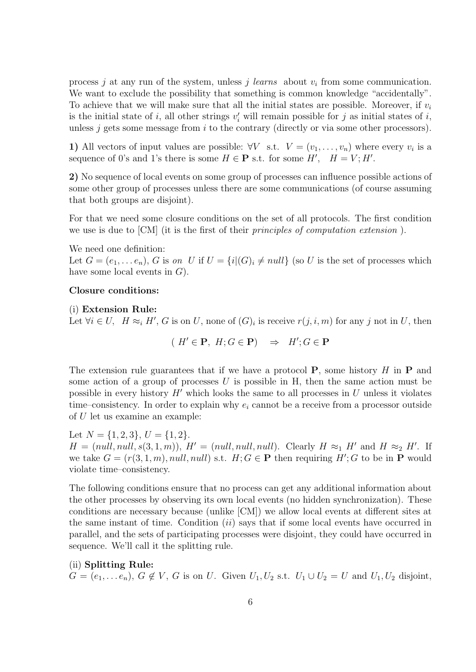process j at any run of the system, unless j learns about  $v_i$  from some communication. We want to exclude the possibility that something is common knowledge "accidentally". To achieve that we will make sure that all the initial states are possible. Moreover, if  $v_i$ is the initial state of i, all other strings  $v'_i$  will remain possible for j as initial states of i, unless  $j$  gets some message from  $i$  to the contrary (directly or via some other processors).

1) All vectors of input values are possible:  $\forall V$  s.t.  $V = (v_1, \ldots, v_n)$  where every  $v_i$  is a sequence of 0's and 1's there is some  $H \in \mathbf{P}$  s.t. for some  $H', H = V; H'.$ 

2) No sequence of local events on some group of processes can influence possible actions of some other group of processes unless there are some communications (of course assuming that both groups are disjoint).

For that we need some closure conditions on the set of all protocols. The first condition we use is due to [CM] (it is the first of their principles of computation extension ).

We need one definition:

Let  $G = (e_1, \ldots e_n)$ , G is on U if  $U = \{i | (G)_i \neq null\}$  (so U is the set of processes which have some local events in  $G$ ).

#### Closure conditions:

#### (i) Extension Rule:

Let  $\forall i \in U$ ,  $H \approx_i H'$ , G is on U, none of  $(G)_i$  is receive  $r(j, i, m)$  for any j not in U, then

$$
(H' \in \mathbf{P}, H; G \in \mathbf{P}) \Rightarrow H'; G \in \mathbf{P}
$$

The extension rule guarantees that if we have a protocol  $P$ , some history  $H$  in  $P$  and some action of a group of processes  $U$  is possible in  $H$ , then the same action must be possible in every history  $H'$  which looks the same to all processes in U unless it violates time–consistency. In order to explain why  $e_i$  cannot be a receive from a processor outside of U let us examine an example:

Let  $N = \{1, 2, 3\}, U = \{1, 2\}.$  $H = (null, null, s(3, 1, m)), H' = (null, null, null).$  Clearly  $H \approx_1 H'$  and  $H \approx_2 H'$ . If we take  $G = (r(3, 1, m), null, null)$  s.t.  $H, G \in \mathbf{P}$  then requiring  $H, G$  to be in **P** would violate time–consistency.

The following conditions ensure that no process can get any additional information about the other processes by observing its own local events (no hidden synchronization). These conditions are necessary because (unlike [CM]) we allow local events at different sites at the same instant of time. Condition  $(ii)$  says that if some local events have occurred in parallel, and the sets of participating processes were disjoint, they could have occurred in sequence. We'll call it the splitting rule.

(ii) Splitting Rule:  $G = (e_1, \ldots e_n)$ ,  $G \notin V$ ,  $G$  is on  $U$ . Given  $U_1, U_2$  s.t.  $U_1 \cup U_2 = U$  and  $U_1, U_2$  disjoint,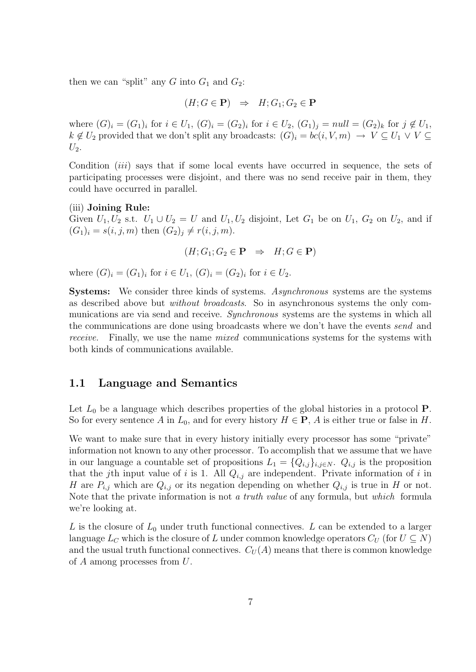then we can "split" any G into  $G_1$  and  $G_2$ :

$$
(H; G \in \mathbf{P}) \Rightarrow H; G_1; G_2 \in \mathbf{P}
$$

where  $(G)_i = (G_1)_i$  for  $i \in U_1$ ,  $(G)_i = (G_2)_i$  for  $i \in U_2$ ,  $(G_1)_j = null = (G_2)_k$  for  $j \notin U_1$ ,  $k \notin U_2$  provided that we don't split any broadcasts:  $(G)_i = bc(i, V, m) \rightarrow V \subseteq U_1 \vee V \subseteq$  $U_2$ .

Condition *(iii)* says that if some local events have occurred in sequence, the sets of participating processes were disjoint, and there was no send receive pair in them, they could have occurred in parallel.

#### (iii) Joining Rule:

Given  $U_1, U_2$  s.t.  $U_1 \cup U_2 = U$  and  $U_1, U_2$  disjoint, Let  $G_1$  be on  $U_1, G_2$  on  $U_2$ , and if  $(G_1)_i = s(i, j, m)$  then  $(G_2)_j \neq r(i, j, m)$ .

 $(H; G_1; G_2 \in \mathbf{P} \Rightarrow H; G \in \mathbf{P})$ 

where  $(G)_i = (G_1)_i$  for  $i \in U_1$ ,  $(G)_i = (G_2)_i$  for  $i \in U_2$ .

Systems: We consider three kinds of systems. Asynchronous systems are the systems as described above but without broadcasts. So in asynchronous systems the only communications are via send and receive. Synchronous systems are the systems in which all the communications are done using broadcasts where we don't have the events send and receive. Finally, we use the name *mixed* communications systems for the systems with both kinds of communications available.

### 1.1 Language and Semantics

Let  $L_0$  be a language which describes properties of the global histories in a protocol **P**. So for every sentence A in  $L_0$ , and for every history  $H \in \mathbf{P}$ , A is either true or false in H.

We want to make sure that in every history initially every processor has some "private" information not known to any other processor. To accomplish that we assume that we have in our language a countable set of propositions  $L_1 = \{Q_{i,j}\}_{i,j\in N}$ .  $Q_{i,j}$  is the proposition that the jth input value of i is 1. All  $Q_{i,j}$  are independent. Private information of i in H are  $P_{i,j}$  which are  $Q_{i,j}$  or its negation depending on whether  $Q_{i,j}$  is true in H or not. Note that the private information is not a truth value of any formula, but which formula we're looking at.

L is the closure of  $L_0$  under truth functional connectives. L can be extended to a larger language  $L_C$  which is the closure of L under common knowledge operators  $C_U$  (for  $U \subseteq N$ ) and the usual truth functional connectives.  $C_U(A)$  means that there is common knowledge of A among processes from U.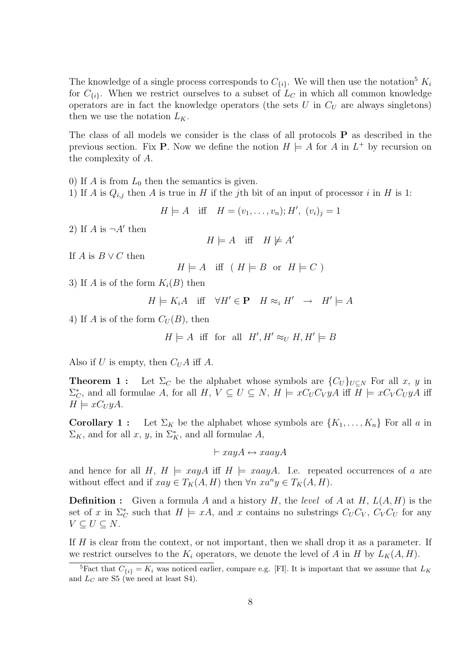The knowledge of a single process corresponds to  $C_{\{i\}}$ . We will then use the notation<sup>5</sup>  $K_i$ for  $C_{\{i\}}$ . When we restrict ourselves to a subset of  $L_C$  in which all common knowledge operators are in fact the knowledge operators (the sets  $U$  in  $C_U$  are always singletons) then we use the notation  $L_K$ .

The class of all models we consider is the class of all protocols P as described in the previous section. Fix **P**. Now we define the notion  $H \models A$  for A in  $L^+$  by recursion on the complexity of A.

0) If A is from  $L_0$  then the semantics is given.

1) If A is  $Q_{i,j}$  then A is true in H if the jth bit of an input of processor i in H is 1:

 $H \models A$  iff  $H = (v_1, \ldots, v_n); H', (v_i)_j = 1$ 

2) If A is  $\neg A'$  then

$$
H \models A \quad \text{iff} \quad H \not\models A'
$$

If  $A$  is  $B \vee C$  then

$$
H \models A \quad \text{iff} \quad (H \models B \quad \text{or} \quad H \models C)
$$

3) If A is of the form  $K_i(B)$  then

$$
H \models K_i A \quad \text{iff} \quad \forall H' \in \mathbf{P} \quad H \approx_i H' \quad \rightarrow \quad H' \models A
$$

4) If A is of the form  $C_U(B)$ , then

$$
H \models A \text{ iff for all } H', H' \approx_U H, H' \models B
$$

Also if U is empty, then  $C_U A$  iff A.

**Theorem 1**: Let  $\Sigma_C$  be the alphabet whose symbols are  $\{C_U\}_{U\subseteq N}$  For all x, y in Σ ∗ \*, and all formulae A, for all H,  $V \subseteq U \subseteq N$ ,  $H \models xC_U C_V yA$  iff  $\overline{H} \models xC_V C_U yA$  iff  $H \models xC_U yA$ .

**Corollary 1**: Let  $\Sigma_K$  be the alphabet whose symbols are  $\{K_1, \ldots, K_n\}$  For all a in  $\Sigma_K$ , and for all x, y, in  $\Sigma_K^*$ , and all formulae A,

$$
\vdash xayA \leftrightarrow xaayA
$$

and hence for all H,  $H \models xayA$  iff  $H \models xaayA$ . I.e. repeated occurrences of a are without effect and if  $xay \in T_K(A, H)$  then  $\forall n \; xa^n y \in T_K(A, H)$ .

**Definition :** Given a formula A and a history H, the level of A at H,  $L(A, H)$  is the set of x in  $\Sigma_C^*$  such that  $H \models xA$ , and x contains no substrings  $C_U C_V$ ,  $C_V C_U$  for any  $V \subseteq U \subseteq N$ .

If H is clear from the context, or not important, then we shall drop it as a parameter. If we restrict ourselves to the  $K_i$  operators, we denote the level of A in H by  $L_K(A, H)$ .

<sup>&</sup>lt;sup>5</sup>Fact that  $C_{\{i\}} = K_i$  was noticed earlier, compare e.g. [FI]. It is important that we assume that  $L_K$ and  $L_C$  are S5 (we need at least S4).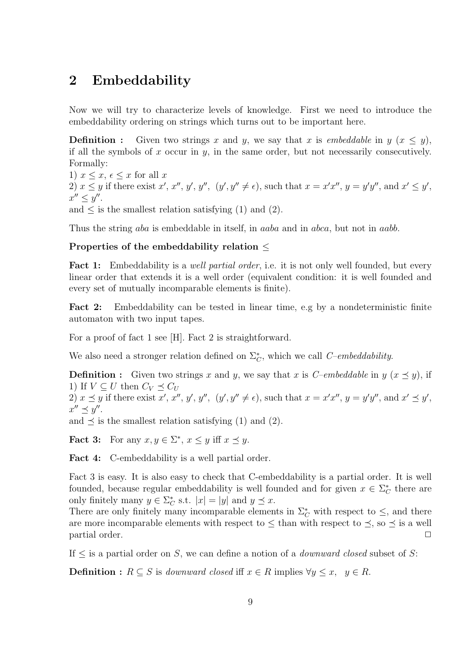## 2 Embeddability

Now we will try to characterize levels of knowledge. First we need to introduce the embeddability ordering on strings which turns out to be important here.

**Definition :** Given two strings x and y, we say that x is embeddable in  $y$   $(x \leq y)$ , if all the symbols of  $x$  occur in  $y$ , in the same order, but not necessarily consecutively. Formally:

1)  $x \leq x, \epsilon \leq x$  for all x 2)  $x \leq y$  if there exist x', x'', y', y'',  $(y', y'' \neq \epsilon)$ , such that  $x = x'x''$ ,  $y = y'y''$ , and  $x' \leq y'$ ,  $x'' \leq y''$ . and  $\leq$  is the smallest relation satisfying (1) and (2).

Thus the string aba is embeddable in itself, in aaba and in abca, but not in aabb.

#### Properties of the embeddability relation  $\leq$

Fact 1: Embeddability is a *well partial order*, i.e. it is not only well founded, but every linear order that extends it is a well order (equivalent condition: it is well founded and every set of mutually incomparable elements is finite).

Fact 2: Embeddability can be tested in linear time, e.g by a nondeterministic finite automaton with two input tapes.

For a proof of fact 1 see [H]. Fact 2 is straightforward.

We also need a stronger relation defined on  $\Sigma_C^*$ , which we call *C*-embeddability.

**Definition :** Given two strings x and y, we say that x is C–embeddable in  $y$  ( $x \le y$ ), if 1) If  $V \subset U$  then  $C_V \prec C_U$ 

2)  $x \leq y$  if there exist x', x'', y', y'',  $(y', y'' \neq \epsilon)$ , such that  $x = x'x''$ ,  $y = y'y''$ , and  $x' \leq y'$ ,  $x^{''}\preceq y^{''}.$ 

and  $\preceq$  is the smallest relation satisfying (1) and (2).

**Fact 3:** For any  $x, y \in \Sigma^*$ ,  $x \leq y$  iff  $x \leq y$ .

Fact 4: C-embeddability is a well partial order.

Fact 3 is easy. It is also easy to check that C-embeddability is a partial order. It is well founded, because regular embeddability is well founded and for given  $x \in \Sigma_{\mathcal{C}}^*$  $_{C}^{*}$  there are only finitely many  $y \in \Sigma_{\mathcal{C}}^*$  $_{C}^{*}$  s.t.  $|x| = |y|$  and  $y \preceq x$ .

There are only finitely many incomparable elements in  $\Sigma_C^*$  with respect to  $\leq$ , and there are more incomparable elements with respect to  $\leq$  than with respect to  $\leq$ , so  $\leq$  is a well partial order.

If  $\leq$  is a partial order on S, we can define a notion of a *downward closed* subset of S:

**Definition** :  $R \subseteq S$  is downward closed iff  $x \in R$  implies  $\forall y \leq x, y \in R$ .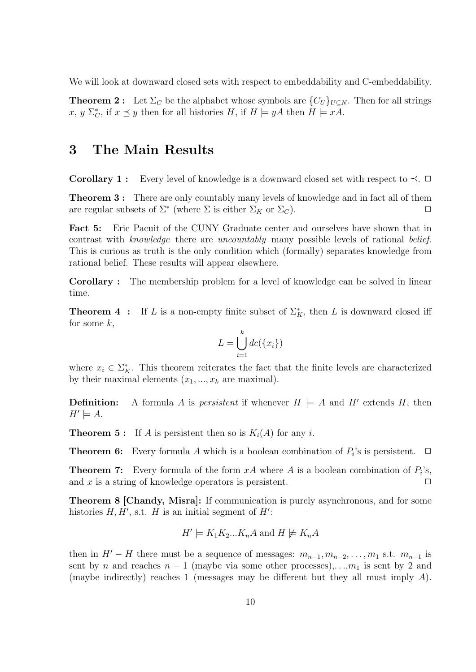We will look at downward closed sets with respect to embeddability and C-embeddability.

**Theorem 2:** Let  $\Sigma_C$  be the alphabet whose symbols are  $\{C_U\}_{U\subset N}$ . Then for all strings x, y  $\Sigma^*_c$ \*, if  $x \preceq y$  then for all histories H, if  $H \models yA$  then  $H \models xA$ .

### 3 The Main Results

**Corollary 1 :** Every level of knowledge is a downward closed set with respect to  $\leq$ .  $\Box$ 

Theorem 3 : There are only countably many levels of knowledge and in fact all of them are regular subsets of  $\Sigma^*$  (where  $\Sigma$  is either  $\Sigma_K$  or  $\Sigma_C$ ).

Fact 5: Eric Pacuit of the CUNY Graduate center and ourselves have shown that in contrast with knowledge there are *uncountably* many possible levels of rational *belief*. This is curious as truth is the only condition which (formally) separates knowledge from rational belief. These results will appear elsewhere.

Corollary : The membership problem for a level of knowledge can be solved in linear time.

**Theorem 4** : If L is a non-empty finite subset of  $\Sigma_K^*$ , then L is downward closed iff for some  $k$ ,

$$
L = \bigcup_{i=1}^{k} dc(\{x_i\})
$$

where  $x_i \in \Sigma_K^*$ . This theorem reiterates the fact that the finite levels are characterized by their maximal elements  $(x_1, ..., x_k)$  are maximal).

**Definition:** A formula A is *persistent* if whenever  $H \models A$  and  $H'$  extends H, then  $H' \models A$ .

**Theorem 5:** If A is persistent then so is  $K_i(A)$  for any i.

**Theorem 6:** Every formula A which is a boolean combination of  $P_i$ 's is persistent.  $\Box$ 

**Theorem 7:** Every formula of the form  $xA$  where A is a boolean combination of  $P_i$ 's, and x is a string of knowledge operators is persistent.  $\Box$ 

Theorem 8 [Chandy, Misra]: If communication is purely asynchronous, and for some histories  $H, H',$  s.t.  $H$  is an initial segment of  $H'$ :

$$
H' \models K_1K_2...K_nA \text{ and } H \not\models K_nA
$$

then in  $H'-H$  there must be a sequence of messages:  $m_{n-1}, m_{n-2}, \ldots, m_1$  s.t.  $m_{n-1}$  is sent by n and reaches  $n-1$  (maybe via some other processes),..., $m_1$  is sent by 2 and (maybe indirectly) reaches 1 (messages may be different but they all must imply  $A$ ).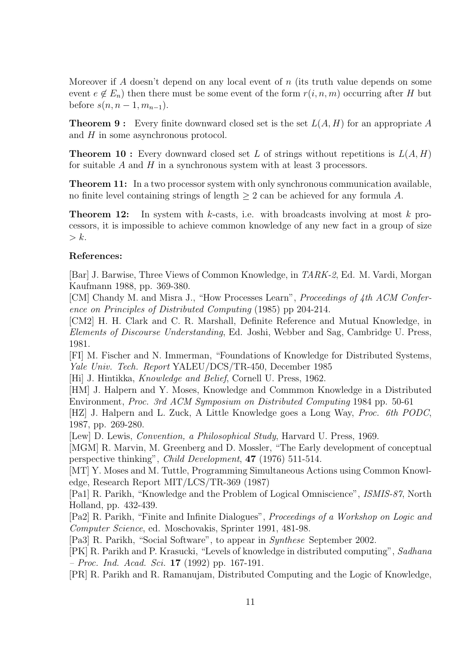Moreover if A doesn't depend on any local event of n (its truth value depends on some event  $e \notin E_n$ ) then there must be some event of the form  $r(i, n, m)$  occurring after H but before  $s(n, n-1, m_{n-1})$ .

**Theorem 9:** Every finite downward closed set is the set  $L(A, H)$  for an appropriate A and H in some asynchronous protocol.

**Theorem 10 :** Every downward closed set L of strings without repetitions is  $L(A, H)$ for suitable  $A$  and  $H$  in a synchronous system with at least 3 processors.

Theorem 11: In a two processor system with only synchronous communication available, no finite level containing strings of length  $\geq 2$  can be achieved for any formula A.

**Theorem 12:** In system with k-casts, i.e. with broadcasts involving at most k processors, it is impossible to achieve common knowledge of any new fact in a group of size  $> k$ .

#### References:

[Bar] J. Barwise, Three Views of Common Knowledge, in TARK-2, Ed. M. Vardi, Morgan Kaufmann 1988, pp. 369-380.

[CM] Chandy M. and Misra J., "How Processes Learn", Proceedings of 4th ACM Conference on Principles of Distributed Computing (1985) pp 204-214.

[CM2] H. H. Clark and C. R. Marshall, Definite Reference and Mutual Knowledge, in Elements of Discourse Understanding, Ed. Joshi, Webber and Sag, Cambridge U. Press, 1981.

[FI] M. Fischer and N. Immerman, "Foundations of Knowledge for Distributed Systems, Yale Univ. Tech. Report YALEU/DCS/TR-450, December 1985

[Hi] J. Hintikka, Knowledge and Belief, Cornell U. Press, 1962.

[HM] J. Halpern and Y. Moses, Knowledge and Commmon Knowledge in a Distributed Environment, Proc. 3rd ACM Symposium on Distributed Computing 1984 pp. 50-61

[HZ] J. Halpern and L. Zuck, A Little Knowledge goes a Long Way, Proc. 6th PODC, 1987, pp. 269-280.

[Lew] D. Lewis, Convention, a Philosophical Study, Harvard U. Press, 1969.

[MGM] R. Marvin, M. Greenberg and D. Mossler, "The Early development of conceptual perspective thinking", Child Development, 47 (1976) 511-514.

[MT] Y. Moses and M. Tuttle, Programming Simultaneous Actions using Common Knowledge, Research Report MIT/LCS/TR-369 (1987)

[Pa1] R. Parikh, "Knowledge and the Problem of Logical Omniscience", ISMIS-87, North Holland, pp. 432-439.

[Pa2] R. Parikh, "Finite and Infinite Dialogues", Proceedings of a Workshop on Logic and Computer Science, ed. Moschovakis, Sprinter 1991, 481-98.

[Pa3] R. Parikh, "Social Software", to appear in Synthese September 2002.

[PK] R. Parikh and P. Krasucki, "Levels of knowledge in distributed computing", Sadhana  $-$  Proc. Ind. Acad. Sci. 17 (1992) pp. 167-191.

[PR] R. Parikh and R. Ramanujam, Distributed Computing and the Logic of Knowledge,